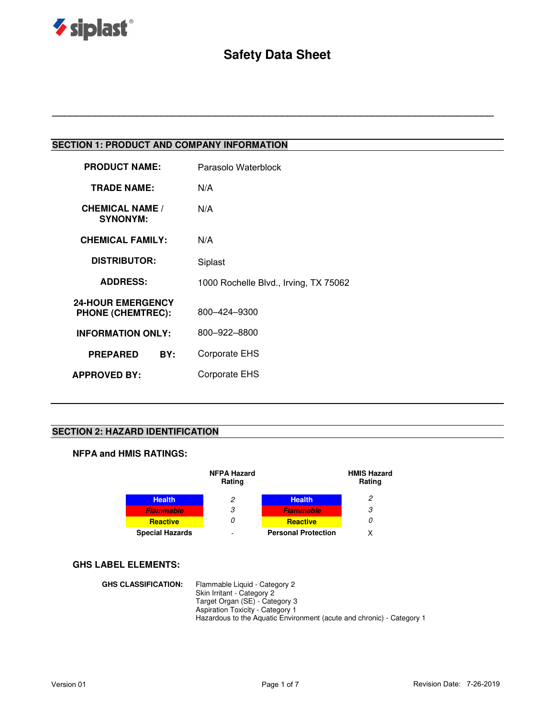

# **Safety Data Sheet**

**\_\_\_\_\_\_\_\_\_\_\_\_\_\_\_\_\_\_\_\_\_\_\_\_\_\_\_\_\_\_\_\_\_\_\_\_\_\_\_\_\_\_\_\_\_\_\_\_\_\_\_\_\_\_\_\_\_\_\_\_\_\_\_\_\_\_\_\_\_\_\_\_\_**

# **SECTION 1: PRODUCT AND COMPANY INFORMATION**

| Parasolo Waterblock                   |
|---------------------------------------|
| N/A                                   |
| N/A                                   |
| N/A                                   |
| Siplast                               |
| 1000 Rochelle Blvd., Irving, TX 75062 |
| 800-424-9300                          |
| 800-922-8800                          |
| Corporate EHS                         |
| Corporate EHS                         |
|                                       |

### **SECTION 2: HAZARD IDENTIFICATION**

### **NFPA and HMIS RATINGS:**

|                        | <b>NFPA Hazard</b><br>Rating |                            | <b>HMIS Hazard</b><br>Rating |
|------------------------|------------------------------|----------------------------|------------------------------|
| <b>Health</b>          | 2                            | <b>Health</b>              | 2                            |
| <b>Flammable</b>       | 3                            | <b>Flammable</b>           | 3                            |
| <b>Reactive</b>        | 0                            | <b>Reactive</b>            | 0                            |
| <b>Special Hazards</b> | -                            | <b>Personal Protection</b> | x                            |

### **GHS LABEL ELEMENTS:**

**GHS CLASSIFICATION:** Flammable Liquid - Category 2 Skin Irritant - Category 2 Target Organ (SE) - Category 3 Aspiration Toxicity - Category 1 Hazardous to the Aquatic Environment (acute and chronic) - Category 1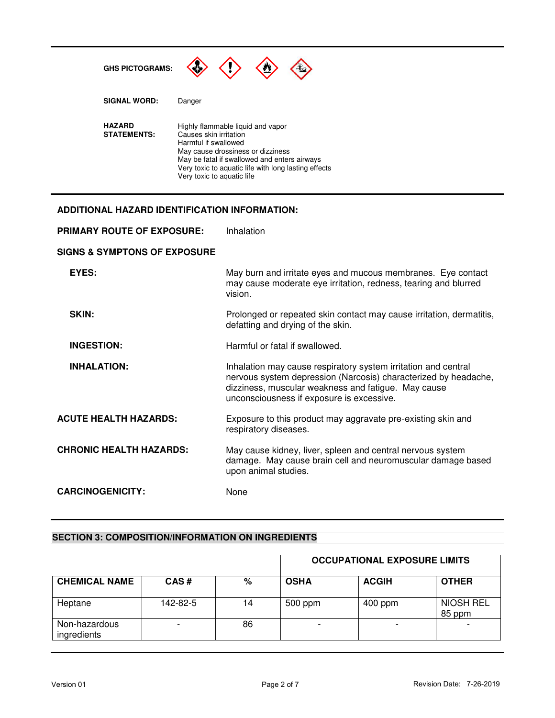

### **ADDITIONAL HAZARD IDENTIFICATION INFORMATION:**

| <b>PRIMARY ROUTE OF EXPOSURE:</b>       | Inhalation                                                                                                                                                                                                                            |
|-----------------------------------------|---------------------------------------------------------------------------------------------------------------------------------------------------------------------------------------------------------------------------------------|
| <b>SIGNS &amp; SYMPTONS OF EXPOSURE</b> |                                                                                                                                                                                                                                       |
| EYES:                                   | May burn and irritate eyes and mucous membranes. Eye contact<br>may cause moderate eye irritation, redness, tearing and blurred<br>vision.                                                                                            |
| SKIN:                                   | Prolonged or repeated skin contact may cause irritation, dermatitis,<br>defatting and drying of the skin.                                                                                                                             |
| <b>INGESTION:</b>                       | Harmful or fatal if swallowed.                                                                                                                                                                                                        |
| <b>INHALATION:</b>                      | Inhalation may cause respiratory system irritation and central<br>nervous system depression (Narcosis) characterized by headache,<br>dizziness, muscular weakness and fatigue. May cause<br>unconsciousness if exposure is excessive. |
| <b>ACUTE HEALTH HAZARDS:</b>            | Exposure to this product may aggravate pre-existing skin and<br>respiratory diseases.                                                                                                                                                 |
| <b>CHRONIC HEALTH HAZARDS:</b>          | May cause kidney, liver, spleen and central nervous system<br>damage. May cause brain cell and neuromuscular damage based<br>upon animal studies.                                                                                     |
| <b>CARCINOGENICITY:</b>                 | None                                                                                                                                                                                                                                  |

### **SECTION 3: COMPOSITION/INFORMATION ON INGREDIENTS**

|                              |          |    |             | <b>OCCUPATIONAL EXPOSURE LIMITS</b> |                            |
|------------------------------|----------|----|-------------|-------------------------------------|----------------------------|
| <b>CHEMICAL NAME</b>         | CAS#     | %  | <b>OSHA</b> | <b>ACGIH</b>                        | <b>OTHER</b>               |
| Heptane                      | 142-82-5 | 14 | 500 ppm     | $400$ ppm                           | <b>NIOSH REL</b><br>85 ppm |
| Non-hazardous<br>ingredients |          | 86 |             |                                     |                            |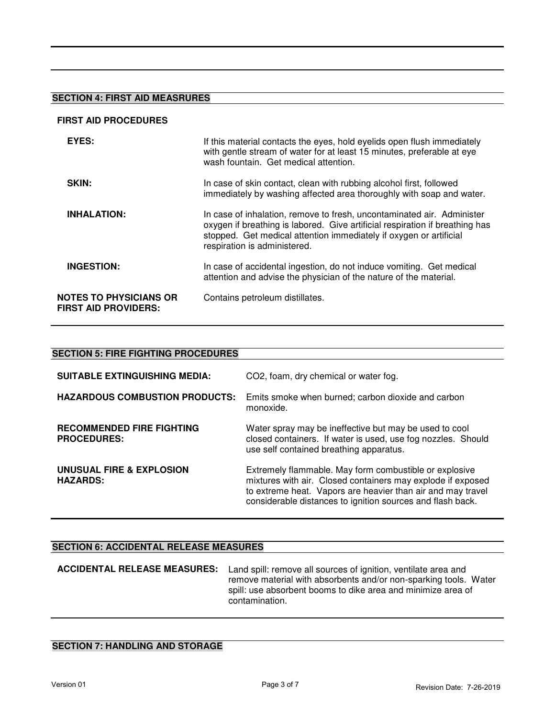# **SECTION 4: FIRST AID MEASRURES**

#### **FIRST AID PROCEDURES**

| EYES:                                                        | If this material contacts the eyes, hold eyelids open flush immediately<br>with gentle stream of water for at least 15 minutes, preferable at eye<br>wash fountain. Get medical attention.                                                                   |
|--------------------------------------------------------------|--------------------------------------------------------------------------------------------------------------------------------------------------------------------------------------------------------------------------------------------------------------|
| SKIN:                                                        | In case of skin contact, clean with rubbing alcohol first, followed<br>immediately by washing affected area thoroughly with soap and water.                                                                                                                  |
| <b>INHALATION:</b>                                           | In case of inhalation, remove to fresh, uncontaminated air. Administer<br>oxygen if breathing is labored. Give artificial respiration if breathing has<br>stopped. Get medical attention immediately if oxygen or artificial<br>respiration is administered. |
| <b>INGESTION:</b>                                            | In case of accidental ingestion, do not induce vomiting. Get medical<br>attention and advise the physician of the nature of the material.                                                                                                                    |
| <b>NOTES TO PHYSICIANS OR</b><br><b>FIRST AID PROVIDERS:</b> | Contains petroleum distillates.                                                                                                                                                                                                                              |

### **SECTION 5: FIRE FIGHTING PROCEDURES**

| <b>SUITABLE EXTINGUISHING MEDIA:</b>                   | CO2, foam, dry chemical or water fog.                                                                                                                                                                                                              |
|--------------------------------------------------------|----------------------------------------------------------------------------------------------------------------------------------------------------------------------------------------------------------------------------------------------------|
| <b>HAZARDOUS COMBUSTION PRODUCTS:</b>                  | Emits smoke when burned; carbon dioxide and carbon<br>monoxide.                                                                                                                                                                                    |
| <b>RECOMMENDED FIRE FIGHTING</b><br><b>PROCEDURES:</b> | Water spray may be ineffective but may be used to cool<br>closed containers. If water is used, use fog nozzles. Should<br>use self contained breathing apparatus.                                                                                  |
| UNUSUAL FIRE & EXPLOSION<br><b>HAZARDS:</b>            | Extremely flammable. May form combustible or explosive<br>mixtures with air. Closed containers may explode if exposed<br>to extreme heat. Vapors are heavier than air and may travel<br>considerable distances to ignition sources and flash back. |

# **SECTION 6: ACCIDENTAL RELEASE MEASURES**

| <b>ACCIDENTAL RELEASE MEASURES:</b> | Land spill: remove all sources of ignition, ventilate area and<br>remove material with absorbents and/or non-sparking tools. Water<br>spill: use absorbent booms to dike area and minimize area of<br>contamination. |
|-------------------------------------|----------------------------------------------------------------------------------------------------------------------------------------------------------------------------------------------------------------------|
|                                     |                                                                                                                                                                                                                      |

# **SECTION 7: HANDLING AND STORAGE**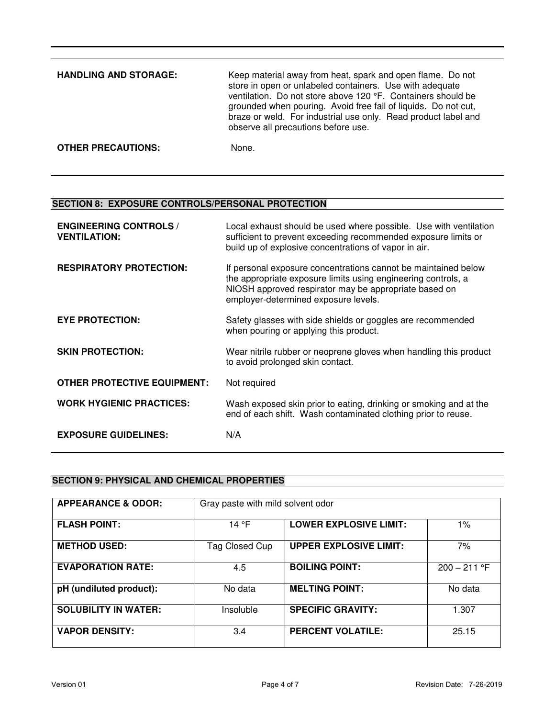| <b>HANDLING AND STORAGE:</b> | Keep material away from heat, spark and open flame. Do not<br>store in open or unlabeled containers. Use with adequate<br>ventilation. Do not store above 120 °F. Containers should be<br>grounded when pouring. Avoid free fall of liquids. Do not cut,<br>braze or weld. For industrial use only. Read product label and<br>observe all precautions before use. |
|------------------------------|-------------------------------------------------------------------------------------------------------------------------------------------------------------------------------------------------------------------------------------------------------------------------------------------------------------------------------------------------------------------|
| <b>OTHER PRECAUTIONS:</b>    | None.                                                                                                                                                                                                                                                                                                                                                             |

# **SECTION 8: EXPOSURE CONTROLS/PERSONAL PROTECTION**

| <b>ENGINEERING CONTROLS /</b><br><b>VENTILATION:</b> | Local exhaust should be used where possible. Use with ventilation<br>sufficient to prevent exceeding recommended exposure limits or<br>build up of explosive concentrations of vapor in air.                                     |
|------------------------------------------------------|----------------------------------------------------------------------------------------------------------------------------------------------------------------------------------------------------------------------------------|
| <b>RESPIRATORY PROTECTION:</b>                       | If personal exposure concentrations cannot be maintained below<br>the appropriate exposure limits using engineering controls, a<br>NIOSH approved respirator may be appropriate based on<br>employer-determined exposure levels. |
| <b>EYE PROTECTION:</b>                               | Safety glasses with side shields or goggles are recommended<br>when pouring or applying this product.                                                                                                                            |
| <b>SKIN PROTECTION:</b>                              | Wear nitrile rubber or neoprene gloves when handling this product<br>to avoid prolonged skin contact.                                                                                                                            |
| <b>OTHER PROTECTIVE EQUIPMENT:</b>                   | Not required                                                                                                                                                                                                                     |
| <b>WORK HYGIENIC PRACTICES:</b>                      | Wash exposed skin prior to eating, drinking or smoking and at the<br>end of each shift. Wash contaminated clothing prior to reuse.                                                                                               |
| <b>EXPOSURE GUIDELINES:</b>                          | N/A                                                                                                                                                                                                                              |

# **SECTION 9: PHYSICAL AND CHEMICAL PROPERTIES**

| <b>APPEARANCE &amp; ODOR:</b> | Gray paste with mild solvent odor |                               |                |
|-------------------------------|-----------------------------------|-------------------------------|----------------|
| <b>FLASH POINT:</b>           | 14 °F                             | <b>LOWER EXPLOSIVE LIMIT:</b> | $1\%$          |
| <b>METHOD USED:</b>           | Tag Closed Cup                    | <b>UPPER EXPLOSIVE LIMIT:</b> | 7%             |
| <b>EVAPORATION RATE:</b>      | 4.5                               | <b>BOILING POINT:</b>         | $200 - 211$ °F |
| pH (undiluted product):       | No data                           | <b>MELTING POINT:</b>         | No data        |
| <b>SOLUBILITY IN WATER:</b>   | Insoluble                         | <b>SPECIFIC GRAVITY:</b>      | 1.307          |
| <b>VAPOR DENSITY:</b>         | 3.4                               | <b>PERCENT VOLATILE:</b>      | 25.15          |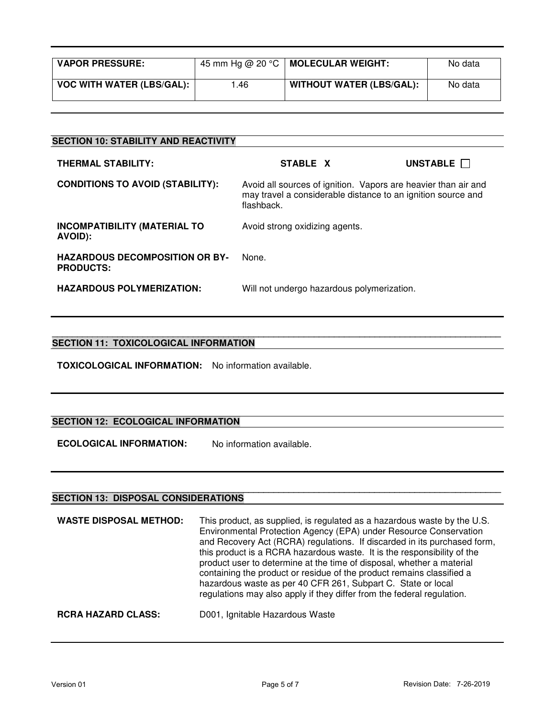| <b>VAPOR PRESSURE:</b>           | 45 mm Hg @ 20 °C | MOLECULAR WEIGHT:               | No data |
|----------------------------------|------------------|---------------------------------|---------|
| <b>VOC WITH WATER (LBS/GAL):</b> | .46              | <b>WITHOUT WATER (LBS/GAL):</b> | No data |

| <b>SECTION 10: STABILITY AND REACTIVITY</b>               |                                                                                                                                              |          |
|-----------------------------------------------------------|----------------------------------------------------------------------------------------------------------------------------------------------|----------|
| <b>THERMAL STABILITY:</b>                                 | STABLE X                                                                                                                                     | UNSTABLE |
| <b>CONDITIONS TO AVOID (STABILITY):</b>                   | Avoid all sources of ignition. Vapors are heavier than air and<br>may travel a considerable distance to an ignition source and<br>flashback. |          |
| <b>INCOMPATIBILITY (MATERIAL TO</b><br>AVOID):            | Avoid strong oxidizing agents.                                                                                                               |          |
| <b>HAZARDOUS DECOMPOSITION OR BY-</b><br><b>PRODUCTS:</b> | None.                                                                                                                                        |          |
| <b>HAZARDOUS POLYMERIZATION:</b>                          | Will not undergo hazardous polymerization.                                                                                                   |          |

#### **\_\_\_\_\_\_\_\_\_\_\_\_\_\_\_\_\_\_\_\_\_\_\_\_\_\_\_\_\_\_\_\_\_\_\_\_\_\_\_\_\_\_\_\_\_\_\_\_\_\_\_\_\_\_\_\_\_\_\_\_\_\_\_\_\_\_\_\_\_\_\_\_\_\_\_\_\_\_\_\_\_\_\_\_\_\_\_\_\_ SECTION 11: TOXICOLOGICAL INFORMATION**

**TOXICOLOGICAL INFORMATION:** No information available.

# **SECTION 12: ECOLOGICAL INFORMATION**

**ECOLOGICAL INFORMATION:** No information available.

#### **\_\_\_\_\_\_\_\_\_\_\_\_\_\_\_\_\_\_\_\_\_\_\_\_\_\_\_\_\_\_\_\_\_\_\_\_\_\_\_\_\_\_\_\_\_\_\_\_\_\_\_\_\_\_\_\_\_\_\_\_\_\_\_\_\_\_\_\_\_\_\_\_\_\_\_\_\_\_\_\_\_\_\_\_\_\_\_\_\_ SECTION 13: DISPOSAL CONSIDERATIONS**

| <b>WASTE DISPOSAL METHOD:</b> | This product, as supplied, is regulated as a hazardous waste by the U.S.<br>Environmental Protection Agency (EPA) under Resource Conservation<br>and Recovery Act (RCRA) regulations. If discarded in its purchased form,<br>this product is a RCRA hazardous waste. It is the responsibility of the<br>product user to determine at the time of disposal, whether a material<br>containing the product or residue of the product remains classified a<br>hazardous waste as per 40 CFR 261, Subpart C. State or local<br>regulations may also apply if they differ from the federal regulation. |
|-------------------------------|--------------------------------------------------------------------------------------------------------------------------------------------------------------------------------------------------------------------------------------------------------------------------------------------------------------------------------------------------------------------------------------------------------------------------------------------------------------------------------------------------------------------------------------------------------------------------------------------------|
| <b>RCRA HAZARD CLASS:</b>     | D001, Ignitable Hazardous Waste                                                                                                                                                                                                                                                                                                                                                                                                                                                                                                                                                                  |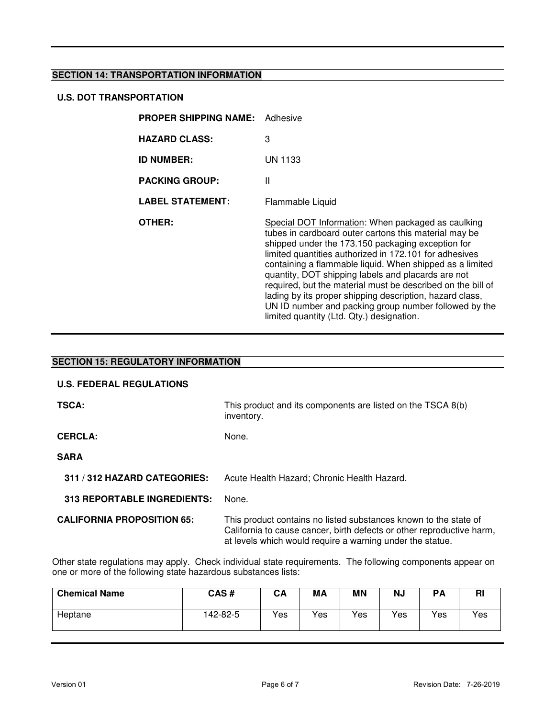### **SECTION 14: TRANSPORTATION INFORMATION**

### **U.S. DOT TRANSPORTATION**

| <b>PROPER SHIPPING NAME:</b> Adhesive |                                                                                                                                                                                                                                                                                                                                                                                                                                                                                                                                                                               |
|---------------------------------------|-------------------------------------------------------------------------------------------------------------------------------------------------------------------------------------------------------------------------------------------------------------------------------------------------------------------------------------------------------------------------------------------------------------------------------------------------------------------------------------------------------------------------------------------------------------------------------|
| <b>HAZARD CLASS:</b>                  | 3                                                                                                                                                                                                                                                                                                                                                                                                                                                                                                                                                                             |
| <b>ID NUMBER:</b>                     | UN 1133                                                                                                                                                                                                                                                                                                                                                                                                                                                                                                                                                                       |
| <b>PACKING GROUP:</b>                 | Ш                                                                                                                                                                                                                                                                                                                                                                                                                                                                                                                                                                             |
| <b>LABEL STATEMENT:</b>               | Flammable Liquid                                                                                                                                                                                                                                                                                                                                                                                                                                                                                                                                                              |
| OTHER:                                | Special DOT Information: When packaged as caulking<br>tubes in cardboard outer cartons this material may be<br>shipped under the 173.150 packaging exception for<br>limited quantities authorized in 172.101 for adhesives<br>containing a flammable liquid. When shipped as a limited<br>quantity, DOT shipping labels and placards are not<br>required, but the material must be described on the bill of<br>lading by its proper shipping description, hazard class,<br>UN ID number and packing group number followed by the<br>limited quantity (Ltd. Qty.) designation. |

# **SECTION 15: REGULATORY INFORMATION U.S. FEDERAL REGULATIONS TSCA:** THIS product and its components are listed on the TSCA 8(b) inventory. CERCLA: None. **SARA 311 / 312 HAZARD CATEGORIES:** Acute Health Hazard; Chronic Health Hazard.  **313 REPORTABLE INGREDIENTS:** None. **CALIFORNIA PROPOSITION 65:** This product contains no listed substances known to the state of California to cause cancer, birth defects or other reproductive harm, at levels which would require a warning under the statue.

Other state regulations may apply. Check individual state requirements. The following components appear on one or more of the following state hazardous substances lists:

| <b>Chemical Name</b> | CAS #    | <b>CA</b> | МA  | ΜN  | NJ  | <b>PA</b> | RI  |
|----------------------|----------|-----------|-----|-----|-----|-----------|-----|
| Heptane              | 142-82-5 | Yes       | Yes | Yes | Yes | Yes       | Yes |